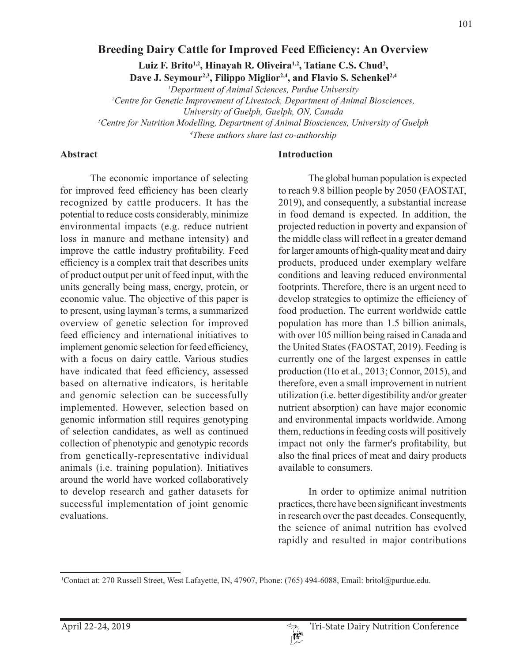## **Breeding Dairy Cattle for Improved Feed Efficiency: An Overview**

Luiz F. Brito<sup>1,2</sup>, Hinayah R. Oliveira<sup>1,2</sup>, Tatiane C.S. Chud<sup>2</sup>, Dave J. Seymour<sup>2,3</sup>, Filippo Miglior<sup>2,4</sup>, and Flavio S. Schenkel<sup>2,4</sup>

 *Department of Animal Sciences, Purdue University Centre for Genetic Improvement of Livestock, Department of Animal Biosciences, University of Guelph, Guelph, ON, Canada Centre for Nutrition Modelling, Department of Animal Biosciences, University of Guelph These authors share last co-authorship*

#### **Abstract**

The economic importance of selecting for improved feed efficiency has been clearly recognized by cattle producers. It has the potential to reduce costs considerably, minimize environmental impacts (e.g. reduce nutrient loss in manure and methane intensity) and improve the cattle industry profitability. Feed efficiency is a complex trait that describes units of product output per unit of feed input, with the units generally being mass, energy, protein, or economic value. The objective of this paper is to present, using layman's terms, a summarized overview of genetic selection for improved feed efficiency and international initiatives to implement genomic selection for feed efficiency, with a focus on dairy cattle. Various studies have indicated that feed efficiency, assessed based on alternative indicators, is heritable and genomic selection can be successfully implemented. However, selection based on genomic information still requires genotyping of selection candidates, as well as continued collection of phenotypic and genotypic records from genetically-representative individual animals (i.e. training population). Initiatives around the world have worked collaboratively to develop research and gather datasets for successful implementation of joint genomic evaluations.

#### **Introduction**

The global human population is expected to reach 9.8 billion people by 2050 (FAOSTAT, 2019), and consequently, a substantial increase in food demand is expected. In addition, the projected reduction in poverty and expansion of the middle class will reflect in a greater demand for larger amounts of high-quality meat and dairy products, produced under exemplary welfare conditions and leaving reduced environmental footprints. Therefore, there is an urgent need to develop strategies to optimize the efficiency of food production. The current worldwide cattle population has more than 1.5 billion animals, with over 105 million being raised in Canada and the United States (FAOSTAT, 2019). Feeding is currently one of the largest expenses in cattle production (Ho et al., 2013; Connor, 2015), and therefore, even a small improvement in nutrient utilization (i.e. better digestibility and/or greater nutrient absorption) can have major economic and environmental impacts worldwide. Among them, reductions in feeding costs will positively impact not only the farmer's profitability, but also the final prices of meat and dairy products available to consumers.

In order to optimize animal nutrition practices, there have been significant investments in research over the past decades. Consequently, the science of animal nutrition has evolved rapidly and resulted in major contributions

<sup>1</sup> Contact at: 270 Russell Street, West Lafayette, IN, 47907, Phone: (765) 494-6088, Email: britol@purdue.edu.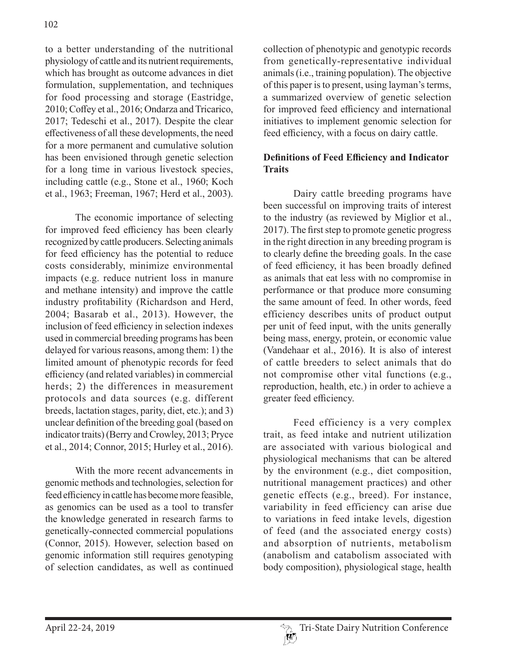to a better understanding of the nutritional physiology of cattle and its nutrient requirements, which has brought as outcome advances in diet formulation, supplementation, and techniques for food processing and storage (Eastridge, 2010; Coffey et al., 2016; Ondarza and Tricarico, 2017; Tedeschi et al., 2017). Despite the clear effectiveness of all these developments, the need for a more permanent and cumulative solution has been envisioned through genetic selection for a long time in various livestock species, including cattle (e.g., Stone et al., 1960; Koch et al., 1963; Freeman, 1967; Herd et al., 2003).

The economic importance of selecting for improved feed efficiency has been clearly recognized by cattle producers. Selecting animals for feed efficiency has the potential to reduce costs considerably, minimize environmental impacts (e.g. reduce nutrient loss in manure and methane intensity) and improve the cattle industry profitability (Richardson and Herd, 2004; Basarab et al., 2013). However, the inclusion of feed efficiency in selection indexes used in commercial breeding programs has been delayed for various reasons, among them: 1) the limited amount of phenotypic records for feed efficiency (and related variables) in commercial herds; 2) the differences in measurement protocols and data sources (e.g. different breeds, lactation stages, parity, diet, etc.); and 3) unclear definition of the breeding goal (based on indicator traits) (Berry and Crowley, 2013; Pryce et al., 2014; Connor, 2015; Hurley et al., 2016).

With the more recent advancements in genomic methods and technologies, selection for feed efficiency in cattle has become more feasible, as genomics can be used as a tool to transfer the knowledge generated in research farms to genetically-connected commercial populations (Connor, 2015). However, selection based on genomic information still requires genotyping of selection candidates, as well as continued

collection of phenotypic and genotypic records from genetically-representative individual animals (i.e., training population). The objective of this paper is to present, using layman's terms, a summarized overview of genetic selection for improved feed efficiency and international initiatives to implement genomic selection for feed efficiency, with a focus on dairy cattle.

# **Definitions of Feed Efficiency and Indicator Traits**

Dairy cattle breeding programs have been successful on improving traits of interest to the industry (as reviewed by Miglior et al., 2017). The first step to promote genetic progress in the right direction in any breeding program is to clearly define the breeding goals. In the case of feed efficiency, it has been broadly defined as animals that eat less with no compromise in performance or that produce more consuming the same amount of feed. In other words, feed efficiency describes units of product output per unit of feed input, with the units generally being mass, energy, protein, or economic value (Vandehaar et al., 2016). It is also of interest of cattle breeders to select animals that do not compromise other vital functions (e.g., reproduction, health, etc.) in order to achieve a greater feed efficiency.

Feed efficiency is a very complex trait, as feed intake and nutrient utilization are associated with various biological and physiological mechanisms that can be altered by the environment (e.g., diet composition, nutritional management practices) and other genetic effects (e.g., breed). For instance, variability in feed efficiency can arise due to variations in feed intake levels, digestion of feed (and the associated energy costs) and absorption of nutrients, metabolism (anabolism and catabolism associated with body composition), physiological stage, health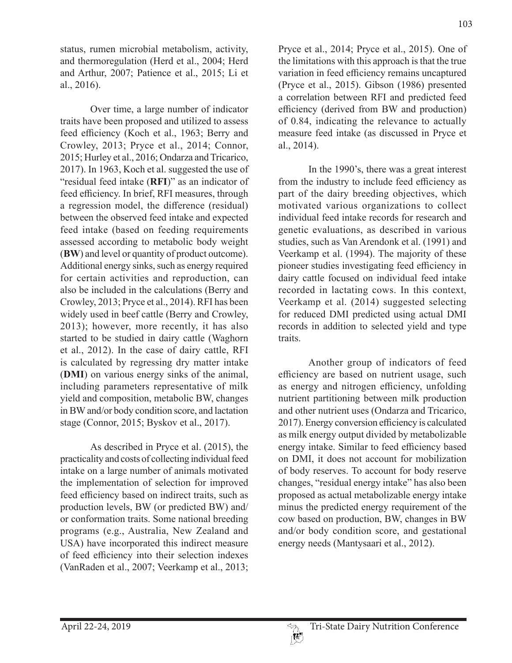status, rumen microbial metabolism, activity, and thermoregulation (Herd et al., 2004; Herd and Arthur, 2007; Patience et al., 2015; Li et al., 2016).

Over time, a large number of indicator traits have been proposed and utilized to assess feed efficiency (Koch et al., 1963; Berry and Crowley, 2013; Pryce et al., 2014; Connor, 2015; Hurley et al., 2016; Ondarza and Tricarico, 2017). In 1963, Koch et al. suggested the use of "residual feed intake (**RFI**)" as an indicator of feed efficiency. In brief, RFI measures, through a regression model, the difference (residual) between the observed feed intake and expected feed intake (based on feeding requirements assessed according to metabolic body weight (**BW**) and level or quantity of product outcome). Additional energy sinks, such as energy required for certain activities and reproduction, can also be included in the calculations (Berry and Crowley, 2013; Pryce et al., 2014). RFI has been widely used in beef cattle (Berry and Crowley, 2013); however, more recently, it has also started to be studied in dairy cattle (Waghorn et al., 2012). In the case of dairy cattle, RFI is calculated by regressing dry matter intake (**DMI**) on various energy sinks of the animal, including parameters representative of milk yield and composition, metabolic BW, changes in BW and/or body condition score, and lactation stage (Connor, 2015; Byskov et al., 2017).

As described in Pryce et al. (2015), the practicality and costs of collecting individual feed intake on a large number of animals motivated the implementation of selection for improved feed efficiency based on indirect traits, such as production levels, BW (or predicted BW) and/ or conformation traits. Some national breeding programs (e.g., Australia, New Zealand and USA) have incorporated this indirect measure of feed efficiency into their selection indexes (VanRaden et al., 2007; Veerkamp et al., 2013;

Pryce et al., 2014; Pryce et al., 2015). One of the limitations with this approach is that the true variation in feed efficiency remains uncaptured (Pryce et al., 2015). Gibson (1986) presented a correlation between RFI and predicted feed efficiency (derived from BW and production) of 0.84, indicating the relevance to actually measure feed intake (as discussed in Pryce et al., 2014).

In the 1990's, there was a great interest from the industry to include feed efficiency as part of the dairy breeding objectives, which motivated various organizations to collect individual feed intake records for research and genetic evaluations, as described in various studies, such as Van Arendonk et al. (1991) and Veerkamp et al. (1994). The majority of these pioneer studies investigating feed efficiency in dairy cattle focused on individual feed intake recorded in lactating cows. In this context, Veerkamp et al. (2014) suggested selecting for reduced DMI predicted using actual DMI records in addition to selected yield and type traits.

Another group of indicators of feed efficiency are based on nutrient usage, such as energy and nitrogen efficiency, unfolding nutrient partitioning between milk production and other nutrient uses (Ondarza and Tricarico, 2017). Energy conversion efficiency is calculated as milk energy output divided by metabolizable energy intake. Similar to feed efficiency based on DMI, it does not account for mobilization of body reserves. To account for body reserve changes, "residual energy intake" has also been proposed as actual metabolizable energy intake minus the predicted energy requirement of the cow based on production, BW, changes in BW and/or body condition score, and gestational energy needs (Mantysaari et al., 2012).

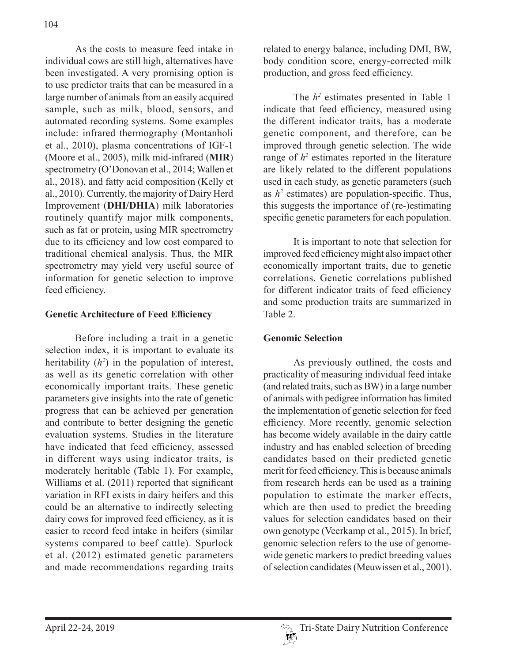As the costs to measure feed intake in individual cows are still high, alternatives have been investigated. A very promising option is to use predictor traits that can be measured in a large number of animals from an easily acquired sample, such as milk, blood, sensors, and automated recording systems. Some examples include: infrared thermography (Montanholi et al., 2010), plasma concentrations of IGF-1 (Moore et al., 2005), milk mid-infrared (**MIR**) spectrometry (O'Donovan et al., 2014; Wallen et al., 2018), and fatty acid composition (Kelly et al., 2010). Currently, the majority of Dairy Herd Improvement (**DHI/DHIA**) milk laboratories routinely quantify major milk components, such as fat or protein, using MIR spectrometry due to its efficiency and low cost compared to traditional chemical analysis. Thus, the MIR spectrometry may yield very useful source of information for genetic selection to improve feed efficiency.

#### **Genetic Architecture of Feed Efficiency**

Before including a trait in a genetic selection index, it is important to evaluate its heritability  $(h^2)$  in the population of interest, as well as its genetic correlation with other economically important traits. These genetic parameters give insights into the rate of genetic progress that can be achieved per generation and contribute to better designing the genetic evaluation systems. Studies in the literature have indicated that feed efficiency, assessed in different ways using indicator traits, is moderately heritable (Table 1). For example, Williams et al. (2011) reported that significant variation in RFI exists in dairy heifers and this could be an alternative to indirectly selecting dairy cows for improved feed efficiency, as it is easier to record feed intake in heifers (similar systems compared to beef cattle). Spurlock et al. (2012) estimated genetic parameters and made recommendations regarding traits

related to energy balance, including DMI, BW, body condition score, energy-corrected milk production, and gross feed efficiency.

The  $h^2$  estimates presented in Table 1 indicate that feed efficiency, measured using the different indicator traits, has a moderate genetic component, and therefore, can be improved through genetic selection. The wide range of  $h^2$  estimates reported in the literature are likely related to the different populations used in each study, as genetic parameters (such as  $h^2$  estimates) are population-specific. Thus, this suggests the importance of (re-)estimating specific genetic parameters for each population.

It is important to note that selection for improved feed efficiency might also impact other economically important traits, due to genetic correlations. Genetic correlations published for different indicator traits of feed efficiency and some production traits are summarized in Table 2.

## **Genomic Selection**

As previously outlined, the costs and practicality of measuring individual feed intake (and related traits, such as BW) in a large number of animals with pedigree information has limited the implementation of genetic selection for feed efficiency. More recently, genomic selection has become widely available in the dairy cattle industry and has enabled selection of breeding candidates based on their predicted genetic merit for feed efficiency. This is because animals from research herds can be used as a training population to estimate the marker effects, which are then used to predict the breeding values for selection candidates based on their own genotype (Veerkamp et al., 2015). In brief, genomic selection refers to the use of genomewide genetic markers to predict breeding values of selection candidates (Meuwissen et al., 2001).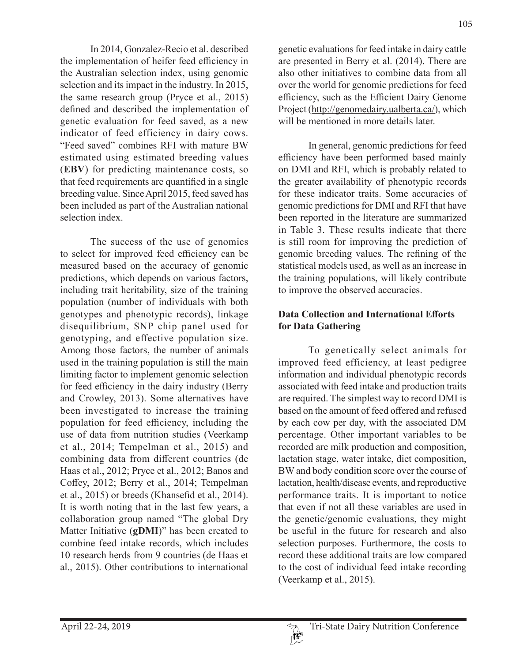In 2014, Gonzalez-Recio et al. described the implementation of heifer feed efficiency in the Australian selection index, using genomic selection and its impact in the industry. In 2015, the same research group (Pryce et al., 2015) defined and described the implementation of genetic evaluation for feed saved, as a new indicator of feed efficiency in dairy cows. "Feed saved" combines RFI with mature BW estimated using estimated breeding values (**EBV**) for predicting maintenance costs, so that feed requirements are quantified in a single breeding value. Since April 2015, feed saved has been included as part of the Australian national selection index.

The success of the use of genomics to select for improved feed efficiency can be measured based on the accuracy of genomic predictions, which depends on various factors, including trait heritability, size of the training population (number of individuals with both genotypes and phenotypic records), linkage disequilibrium, SNP chip panel used for genotyping, and effective population size. Among those factors, the number of animals used in the training population is still the main limiting factor to implement genomic selection for feed efficiency in the dairy industry (Berry and Crowley, 2013). Some alternatives have been investigated to increase the training population for feed efficiency, including the use of data from nutrition studies (Veerkamp et al., 2014; Tempelman et al., 2015) and combining data from different countries (de Haas et al., 2012; Pryce et al., 2012; Banos and Coffey, 2012; Berry et al., 2014; Tempelman et al., 2015) or breeds (Khansefid et al., 2014). It is worth noting that in the last few years, a collaboration group named "The global Dry Matter Initiative (**gDMI**)" has been created to combine feed intake records, which includes 10 research herds from 9 countries (de Haas et al., 2015). Other contributions to international

genetic evaluations for feed intake in dairy cattle are presented in Berry et al. (2014). There are also other initiatives to combine data from all over the world for genomic predictions for feed efficiency, such as the Efficient Dairy Genome Project (http://genomedairy.ualberta.ca/), which will be mentioned in more details later.

In general, genomic predictions for feed efficiency have been performed based mainly on DMI and RFI, which is probably related to the greater availability of phenotypic records for these indicator traits. Some accuracies of genomic predictions for DMI and RFI that have been reported in the literature are summarized in Table 3. These results indicate that there is still room for improving the prediction of genomic breeding values. The refining of the statistical models used, as well as an increase in the training populations, will likely contribute to improve the observed accuracies.

# **Data Collection and International Efforts for Data Gathering**

To genetically select animals for improved feed efficiency, at least pedigree information and individual phenotypic records associated with feed intake and production traits are required. The simplest way to record DMI is based on the amount of feed offered and refused by each cow per day, with the associated DM percentage. Other important variables to be recorded are milk production and composition, lactation stage, water intake, diet composition, BW and body condition score over the course of lactation, health/disease events, and reproductive performance traits. It is important to notice that even if not all these variables are used in the genetic/genomic evaluations, they might be useful in the future for research and also selection purposes. Furthermore, the costs to record these additional traits are low compared to the cost of individual feed intake recording (Veerkamp et al., 2015).

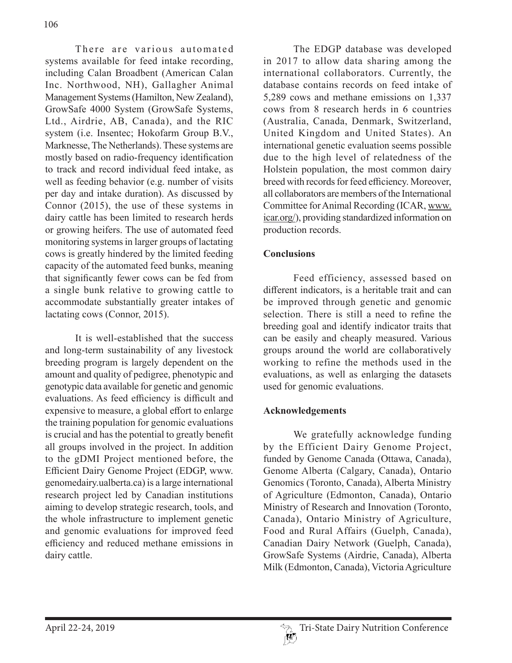There are various automated systems available for feed intake recording, including Calan Broadbent (American Calan Inc. Northwood, NH), Gallagher Animal Management Systems (Hamilton, New Zealand), GrowSafe 4000 System (GrowSafe Systems, Ltd., Airdrie, AB, Canada), and the RIC system (i.e. Insentec; Hokofarm Group B.V., Marknesse, The Netherlands). These systems are mostly based on radio-frequency identification to track and record individual feed intake, as well as feeding behavior (e.g. number of visits per day and intake duration). As discussed by Connor (2015), the use of these systems in dairy cattle has been limited to research herds or growing heifers. The use of automated feed monitoring systems in larger groups of lactating cows is greatly hindered by the limited feeding capacity of the automated feed bunks, meaning that significantly fewer cows can be fed from a single bunk relative to growing cattle to accommodate substantially greater intakes of lactating cows (Connor, 2015).

It is well-established that the success and long-term sustainability of any livestock breeding program is largely dependent on the amount and quality of pedigree, phenotypic and genotypic data available for genetic and genomic evaluations. As feed efficiency is difficult and expensive to measure, a global effort to enlarge the training population for genomic evaluations is crucial and has the potential to greatly benefit all groups involved in the project. In addition to the gDMI Project mentioned before, the Efficient Dairy Genome Project (EDGP, www. genomedairy.ualberta.ca) is a large international research project led by Canadian institutions aiming to develop strategic research, tools, and the whole infrastructure to implement genetic and genomic evaluations for improved feed efficiency and reduced methane emissions in dairy cattle.

The EDGP database was developed in 2017 to allow data sharing among the international collaborators. Currently, the database contains records on feed intake of 5,289 cows and methane emissions on 1,337 cows from 8 research herds in 6 countries (Australia, Canada, Denmark, Switzerland, United Kingdom and United States). An international genetic evaluation seems possible due to the high level of relatedness of the Holstein population, the most common dairy breed with records for feed efficiency. Moreover, all collaborators are members of the International Committee for Animal Recording (ICAR, www. icar.org/), providing standardized information on production records.

## **Conclusions**

Feed efficiency, assessed based on different indicators, is a heritable trait and can be improved through genetic and genomic selection. There is still a need to refine the breeding goal and identify indicator traits that can be easily and cheaply measured. Various groups around the world are collaboratively working to refine the methods used in the evaluations, as well as enlarging the datasets used for genomic evaluations.

#### **Acknowledgements**

We gratefully acknowledge funding by the Efficient Dairy Genome Project, funded by Genome Canada (Ottawa, Canada), Genome Alberta (Calgary, Canada), Ontario Genomics (Toronto, Canada), Alberta Ministry of Agriculture (Edmonton, Canada), Ontario Ministry of Research and Innovation (Toronto, Canada), Ontario Ministry of Agriculture, Food and Rural Affairs (Guelph, Canada), Canadian Dairy Network (Guelph, Canada), GrowSafe Systems (Airdrie, Canada), Alberta Milk (Edmonton, Canada), Victoria Agriculture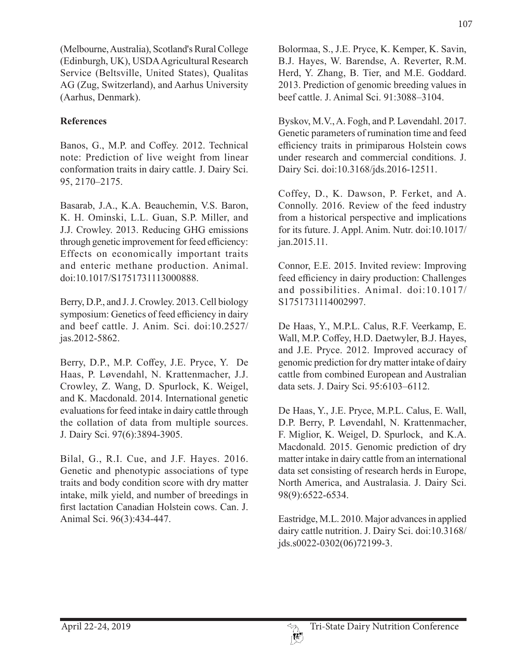(Melbourne, Australia), Scotland's Rural College (Edinburgh, UK), USDA Agricultural Research Service (Beltsville, United States), Qualitas AG (Zug, Switzerland), and Aarhus University (Aarhus, Denmark).

## **References**

Banos, G., M.P. and Coffey. 2012. Technical note: Prediction of live weight from linear conformation traits in dairy cattle. J. Dairy Sci. 95, 2170–2175.

Basarab, J.A., K.A. Beauchemin, V.S. Baron, K. H. Ominski, L.L. Guan, S.P. Miller, and J.J. Crowley. 2013. Reducing GHG emissions through genetic improvement for feed efficiency: Effects on economically important traits and enteric methane production. Animal. doi:10.1017/S1751731113000888.

Berry, D.P., and J. J. Crowley. 2013. Cell biology symposium: Genetics of feed efficiency in dairy and beef cattle. J. Anim. Sci. doi:10.2527/ jas.2012-5862.

Berry, D.P., M.P. Coffey, J.E. Pryce, Y. De Haas, P. Løvendahl, N. Krattenmacher, J.J. Crowley, Z. Wang, D. Spurlock, K. Weigel, and K. Macdonald. 2014. International genetic evaluations for feed intake in dairy cattle through the collation of data from multiple sources. J. Dairy Sci. 97(6):3894-3905.

Bilal, G., R.I. Cue, and J.F. Hayes. 2016. Genetic and phenotypic associations of type traits and body condition score with dry matter intake, milk yield, and number of breedings in first lactation Canadian Holstein cows. Can. J. Animal Sci. 96(3):434-447.

Bolormaa, S., J.E. Pryce, K. Kemper, K. Savin, B.J. Hayes, W. Barendse, A. Reverter, R.M. Herd, Y. Zhang, B. Tier, and M.E. Goddard. 2013. Prediction of genomic breeding values in beef cattle. J. Animal Sci. 91:3088–3104.

Byskov, M.V., A. Fogh, and P. Løvendahl. 2017. Genetic parameters of rumination time and feed efficiency traits in primiparous Holstein cows under research and commercial conditions. J. Dairy Sci. doi:10.3168/jds.2016-12511.

Coffey, D., K. Dawson, P. Ferket, and A. Connolly. 2016. Review of the feed industry from a historical perspective and implications for its future. J. Appl. Anim. Nutr. doi:10.1017/ jan.2015.11.

Connor, E.E. 2015. Invited review: Improving feed efficiency in dairy production: Challenges and possibilities. Animal. doi:10.1017/ S1751731114002997.

De Haas, Y., M.P.L. Calus, R.F. Veerkamp, E. Wall, M.P. Coffey, H.D. Daetwyler, B.J. Hayes, and J.E. Pryce. 2012. Improved accuracy of genomic prediction for dry matter intake of dairy cattle from combined European and Australian data sets. J. Dairy Sci. 95:6103–6112.

De Haas, Y., J.E. Pryce, M.P.L. Calus, E. Wall, D.P. Berry, P. Løvendahl, N. Krattenmacher, F. Miglior, K. Weigel, D. Spurlock, and K.A. Macdonald. 2015. Genomic prediction of dry matter intake in dairy cattle from an international data set consisting of research herds in Europe, North America, and Australasia. J. Dairy Sci. 98(9):6522-6534.

Eastridge, M.L. 2010. Major advances in applied dairy cattle nutrition. J. Dairy Sci. doi:10.3168/ jds.s0022-0302(06)72199-3.

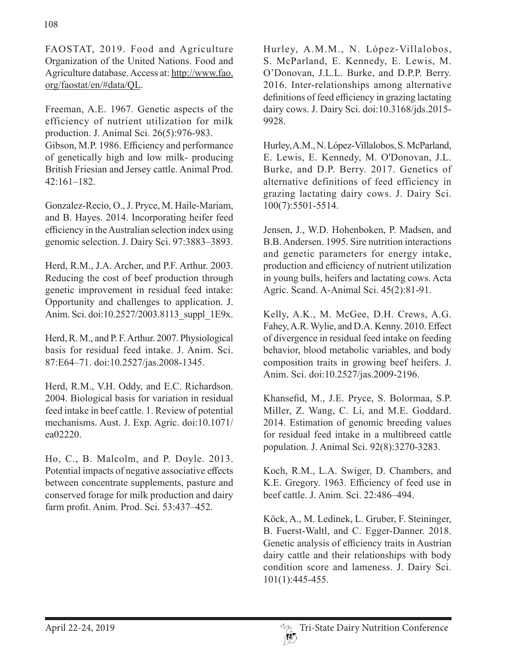FAOSTAT, 2019. Food and Agriculture Organization of the United Nations. Food and Agriculture database. Access at: http://www.fao. org/faostat/en/#data/QL.

Freeman, A.E. 1967. Genetic aspects of the efficiency of nutrient utilization for milk production. J. Animal Sci. 26(5):976-983. Gibson, M.P. 1986. Efficiency and performance of genetically high and low milk- producing British Friesian and Jersey cattle. Animal Prod. 42:161–182.

Gonzalez-Recio, O., J. Pryce, M. Haile-Mariam, and B. Hayes. 2014. Incorporating heifer feed efficiency in the Australian selection index using genomic selection. J. Dairy Sci. 97:3883–3893.

Herd, R.M., J.A. Archer, and P.F. Arthur. 2003. Reducing the cost of beef production through genetic improvement in residual feed intake: Opportunity and challenges to application. J. Anim. Sci. doi:10.2527/2003.8113\_suppl\_1E9x.

Herd, R. M., and P. F. Arthur. 2007. Physiological basis for residual feed intake. J. Anim. Sci. 87:E64–71. doi:10.2527/jas.2008-1345.

Herd, R.M., V.H. Oddy, and E.C. Richardson. 2004. Biological basis for variation in residual feed intake in beef cattle. 1. Review of potential mechanisms. Aust. J. Exp. Agric. doi:10.1071/ ea02220.

Ho, C., B. Malcolm, and P. Doyle. 2013. Potential impacts of negative associative effects between concentrate supplements, pasture and conserved forage for milk production and dairy farm profit. Anim. Prod. Sci. 53:437–452.

Hurley, A.M.M., N. López-Villalobos, S. McParland, E. Kennedy, E. Lewis, M. O'Donovan, J.L.L. Burke, and D.P.P. Berry. 2016. Inter-relationships among alternative definitions of feed efficiency in grazing lactating dairy cows. J. Dairy Sci. doi:10.3168/jds.2015- 9928.

Hurley, A.M., N. López-Villalobos, S. McParland, E. Lewis, E. Kennedy, M. O'Donovan, J.L. Burke, and D.P. Berry. 2017. Genetics of alternative definitions of feed efficiency in grazing lactating dairy cows. J. Dairy Sci. 100(7):5501-5514.

Jensen, J., W.D. Hohenboken, P. Madsen, and B.B. Andersen. 1995. Sire nutrition interactions and genetic parameters for energy intake, production and efficiency of nutrient utilization in young bulls, heifers and lactating cows. Acta Agric. Scand. A-Animal Sci. 45(2):81-91.

Kelly, A.K., M. McGee, D.H. Crews, A.G. Fahey, A.R. Wylie, and D.A. Kenny. 2010. Effect of divergence in residual feed intake on feeding behavior, blood metabolic variables, and body composition traits in growing beef heifers. J. Anim. Sci. doi:10.2527/jas.2009-2196.

Khansefid, M., J.E. Pryce, S. Bolormaa, S.P. Miller, Z. Wang, C. Li, and M.E. Goddard. 2014. Estimation of genomic breeding values for residual feed intake in a multibreed cattle population. J. Animal Sci. 92(8):3270-3283.

Koch, R.M., L.A. Swiger, D. Chambers, and K.E. Gregory. 1963. Efficiency of feed use in beef cattle. J. Anim. Sci. 22:486–494.

Köck, A., M. Ledinek, L. Gruber, F. Steininger, B. Fuerst-Waltl, and C. Egger-Danner. 2018. Genetic analysis of efficiency traits in Austrian dairy cattle and their relationships with body condition score and lameness. J. Dairy Sci. 101(1):445-455.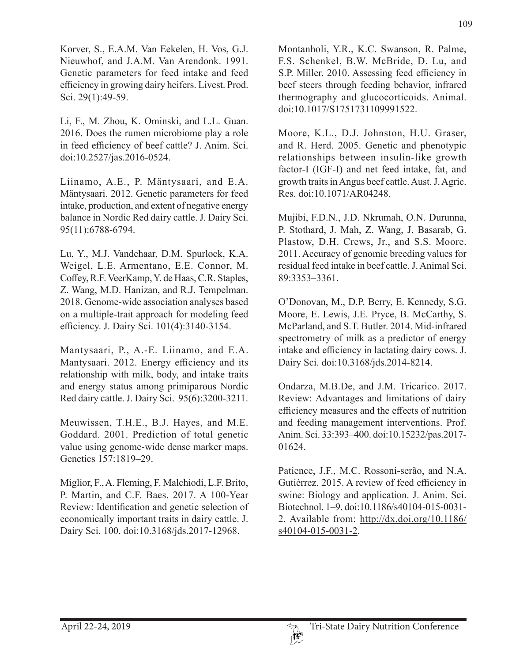Korver, S., E.A.M. Van Eekelen, H. Vos, G.J. Nieuwhof, and J.A.M. Van Arendonk. 1991. Genetic parameters for feed intake and feed efficiency in growing dairy heifers. Livest. Prod. Sci. 29(1):49-59.

Li, F., M. Zhou, K. Ominski, and L.L. Guan. 2016. Does the rumen microbiome play a role in feed efficiency of beef cattle? J. Anim. Sci. doi:10.2527/jas.2016-0524.

Liinamo, A.E., P. Mäntysaari, and E.A. Mäntysaari. 2012. Genetic parameters for feed intake, production, and extent of negative energy balance in Nordic Red dairy cattle. J. Dairy Sci. 95(11):6788-6794.

Lu, Y., M.J. Vandehaar, D.M. Spurlock, K.A. Weigel, L.E. Armentano, E.E. Connor, M. Coffey, R.F. VeerKamp, Y. de Haas, C.R. Staples, Z. Wang, M.D. Hanizan, and R.J. Tempelman. 2018. Genome-wide association analyses based on a multiple-trait approach for modeling feed efficiency. J. Dairy Sci. 101(4):3140-3154.

Mantysaari, P., A.-E. Liinamo, and E.A. Mantysaari. 2012. Energy efficiency and its relationship with milk, body, and intake traits and energy status among primiparous Nordic Red dairy cattle. J. Dairy Sci. 95(6):3200-3211.

Meuwissen, T.H.E., B.J. Hayes, and M.E. Goddard. 2001. Prediction of total genetic value using genome-wide dense marker maps. Genetics 157:1819–29.

Miglior, F., A. Fleming, F. Malchiodi, L.F. Brito, P. Martin, and C.F. Baes. 2017. A 100-Year Review: Identification and genetic selection of economically important traits in dairy cattle. J. Dairy Sci. 100. doi:10.3168/jds.2017-12968.

Montanholi, Y.R., K.C. Swanson, R. Palme, F.S. Schenkel, B.W. McBride, D. Lu, and S.P. Miller. 2010. Assessing feed efficiency in beef steers through feeding behavior, infrared thermography and glucocorticoids. Animal. doi:10.1017/S1751731109991522.

Moore, K.L., D.J. Johnston, H.U. Graser, and R. Herd. 2005. Genetic and phenotypic relationships between insulin-like growth factor-I (IGF-I) and net feed intake, fat, and growth traits in Angus beef cattle. Aust. J. Agric. Res. doi:10.1071/AR04248.

Mujibi, F.D.N., J.D. Nkrumah, O.N. Durunna, P. Stothard, J. Mah, Z. Wang, J. Basarab, G. Plastow, D.H. Crews, Jr., and S.S. Moore. 2011. Accuracy of genomic breeding values for residual feed intake in beef cattle. J. Animal Sci. 89:3353–3361.

O'Donovan, M., D.P. Berry, E. Kennedy, S.G. Moore, E. Lewis, J.E. Pryce, B. McCarthy, S. McParland, and S.T. Butler. 2014. Mid-infrared spectrometry of milk as a predictor of energy intake and efficiency in lactating dairy cows. J. Dairy Sci. doi:10.3168/jds.2014-8214.

Ondarza, M.B.De, and J.M. Tricarico. 2017. Review: Advantages and limitations of dairy efficiency measures and the effects of nutrition and feeding management interventions. Prof. Anim. Sci. 33:393–400. doi:10.15232/pas.2017- 01624.

Patience, J.F., M.C. Rossoni-serão, and N.A. Gutiérrez. 2015. A review of feed efficiency in swine: Biology and application. J. Anim. Sci. Biotechnol. 1–9. doi:10.1186/s40104-015-0031- 2. Available from: http://dx.doi.org/10.1186/  $s40104-015-0031-2.$ 

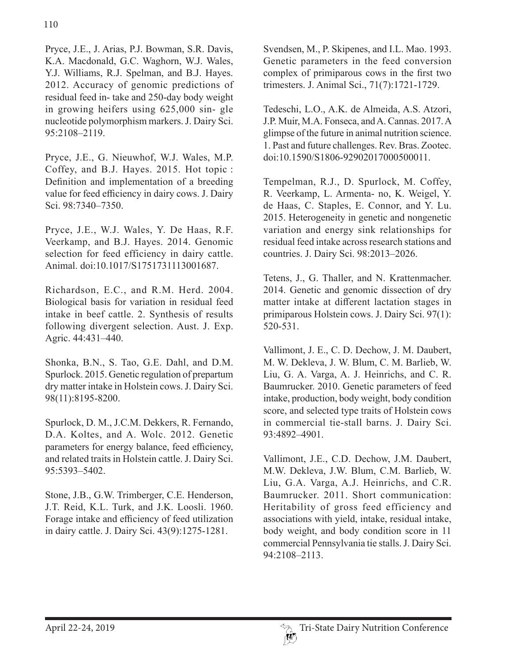Pryce, J.E., J. Arias, P.J. Bowman, S.R. Davis, K.A. Macdonald, G.C. Waghorn, W.J. Wales, Y.J. Williams, R.J. Spelman, and B.J. Hayes. 2012. Accuracy of genomic predictions of residual feed in- take and 250-day body weight in growing heifers using 625,000 sin- gle nucleotide polymorphism markers. J. Dairy Sci. 95:2108–2119.

Pryce, J.E., G. Nieuwhof, W.J. Wales, M.P. Coffey, and B.J. Hayes. 2015. Hot topic : Definition and implementation of a breeding value for feed efficiency in dairy cows. J. Dairy Sci. 98:7340–7350.

Pryce, J.E., W.J. Wales, Y. De Haas, R.F. Veerkamp, and B.J. Hayes. 2014. Genomic selection for feed efficiency in dairy cattle. Animal. doi:10.1017/S1751731113001687.

Richardson, E.C., and R.M. Herd. 2004. Biological basis for variation in residual feed intake in beef cattle. 2. Synthesis of results following divergent selection. Aust. J. Exp. Agric. 44:431–440.

Shonka, B.N., S. Tao, G.E. Dahl, and D.M. Spurlock. 2015. Genetic regulation of prepartum dry matter intake in Holstein cows. J. Dairy Sci. 98(11):8195-8200.

Spurlock, D. M., J.C.M. Dekkers, R. Fernando, D.A. Koltes, and A. Wolc. 2012. Genetic parameters for energy balance, feed efficiency, and related traits in Holstein cattle. J. Dairy Sci. 95:5393–5402.

Stone, J.B., G.W. Trimberger, C.E. Henderson, J.T. Reid, K.L. Turk, and J.K. Loosli. 1960. Forage intake and efficiency of feed utilization in dairy cattle. J. Dairy Sci. 43(9):1275-1281.

Svendsen, M., P. Skipenes, and I.L. Mao. 1993. Genetic parameters in the feed conversion complex of primiparous cows in the first two trimesters. J. Animal Sci., 71(7):1721-1729.

Tedeschi, L.O., A.K. de Almeida, A.S. Atzori, J.P. Muir, M.A. Fonseca, and A. Cannas. 2017. A glimpse of the future in animal nutrition science. 1. Past and future challenges. Rev. Bras. Zootec. doi:10.1590/S1806-92902017000500011.

Tempelman, R.J., D. Spurlock, M. Coffey, R. Veerkamp, L. Armenta- no, K. Weigel, Y. de Haas, C. Staples, E. Connor, and Y. Lu. 2015. Heterogeneity in genetic and nongenetic variation and energy sink relationships for residual feed intake across research stations and countries. J. Dairy Sci. 98:2013–2026.

Tetens, J., G. Thaller, and N. Krattenmacher. 2014. Genetic and genomic dissection of dry matter intake at different lactation stages in primiparous Holstein cows. J. Dairy Sci. 97(1): 520-531.

Vallimont, J. E., C. D. Dechow, J. M. Daubert, M. W. Dekleva, J. W. Blum, C. M. Barlieb, W. Liu, G. A. Varga, A. J. Heinrichs, and C. R. Baumrucker. 2010. Genetic parameters of feed intake, production, body weight, body condition score, and selected type traits of Holstein cows in commercial tie-stall barns. J. Dairy Sci. 93:4892–4901.

Vallimont, J.E., C.D. Dechow, J.M. Daubert, M.W. Dekleva, J.W. Blum, C.M. Barlieb, W. Liu, G.A. Varga, A.J. Heinrichs, and C.R. Baumrucker. 2011. Short communication: Heritability of gross feed efficiency and associations with yield, intake, residual intake, body weight, and body condition score in 11 commercial Pennsylvania tie stalls. J. Dairy Sci. 94:2108–2113.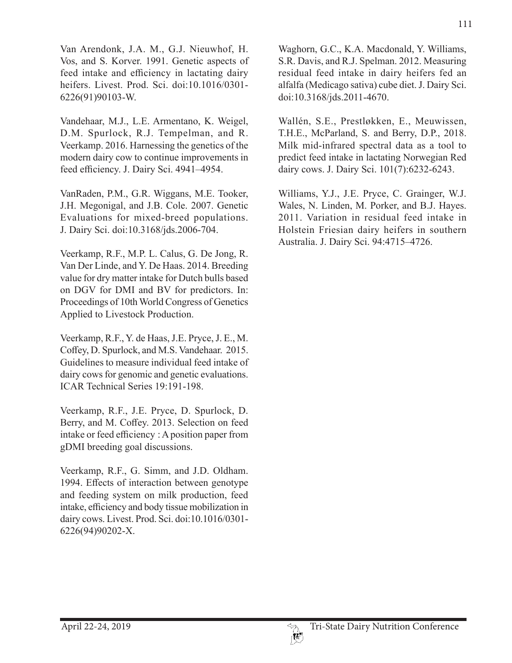Van Arendonk, J.A. M., G.J. Nieuwhof, H. Vos, and S. Korver. 1991. Genetic aspects of feed intake and efficiency in lactating dairy heifers. Livest. Prod. Sci. doi:10.1016/0301- 6226(91)90103-W.

Vandehaar, M.J., L.E. Armentano, K. Weigel, D.M. Spurlock, R.J. Tempelman, and R. Veerkamp. 2016. Harnessing the genetics of the modern dairy cow to continue improvements in feed efficiency. J. Dairy Sci. 4941–4954.

VanRaden, P.M., G.R. Wiggans, M.E. Tooker, J.H. Megonigal, and J.B. Cole. 2007. Genetic Evaluations for mixed-breed populations. J. Dairy Sci. doi:10.3168/jds.2006-704.

Veerkamp, R.F., M.P. L. Calus, G. De Jong, R. Van Der Linde, and Y. De Haas. 2014. Breeding value for dry matter intake for Dutch bulls based on DGV for DMI and BV for predictors. In: Proceedings of 10th World Congress of Genetics Applied to Livestock Production.

Veerkamp, R.F., Y. de Haas, J.E. Pryce, J. E., M. Coffey, D. Spurlock, and M.S. Vandehaar. 2015. Guidelines to measure individual feed intake of dairy cows for genomic and genetic evaluations. ICAR Technical Series 19:191-198.

Veerkamp, R.F., J.E. Pryce, D. Spurlock, D. Berry, and M. Coffey. 2013. Selection on feed intake or feed efficiency : A position paper from gDMI breeding goal discussions.

Veerkamp, R.F., G. Simm, and J.D. Oldham. 1994. Effects of interaction between genotype and feeding system on milk production, feed intake, efficiency and body tissue mobilization in dairy cows. Livest. Prod. Sci. doi:10.1016/0301- 6226(94)90202-X.

Waghorn, G.C., K.A. Macdonald, Y. Williams, S.R. Davis, and R.J. Spelman. 2012. Measuring residual feed intake in dairy heifers fed an alfalfa (Medicago sativa) cube diet. J. Dairy Sci. doi:10.3168/jds.2011-4670.

Wallén, S.E., Prestløkken, E., Meuwissen, T.H.E., McParland, S. and Berry, D.P., 2018. Milk mid-infrared spectral data as a tool to predict feed intake in lactating Norwegian Red dairy cows. J. Dairy Sci. 101(7):6232-6243.

Williams, Y.J., J.E. Pryce, C. Grainger, W.J. Wales, N. Linden, M. Porker, and B.J. Hayes. 2011. Variation in residual feed intake in Holstein Friesian dairy heifers in southern Australia. J. Dairy Sci. 94:4715–4726.

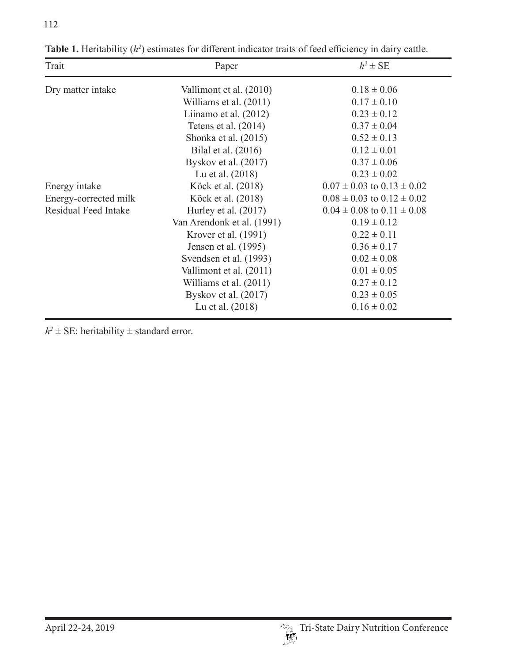| Trait                       | Paper                      | $h^2 \pm \text{SE}$                |
|-----------------------------|----------------------------|------------------------------------|
| Dry matter intake           | Vallimont et al. (2010)    | $0.18 \pm 0.06$                    |
|                             | Williams et al. (2011)     | $0.17 \pm 0.10$                    |
|                             | Liinamo et al. $(2012)$    | $0.23 \pm 0.12$                    |
|                             | Tetens et al. $(2014)$     | $0.37 \pm 0.04$                    |
|                             | Shonka et al. (2015)       | $0.52 \pm 0.13$                    |
|                             | Bilal et al. (2016)        | $0.12 \pm 0.01$                    |
|                             | Byskov et al. $(2017)$     | $0.37 \pm 0.06$                    |
|                             | Lu et al. (2018)           | $0.23 \pm 0.02$                    |
| Energy intake               | Köck et al. (2018)         | $0.07 \pm 0.03$ to $0.13 \pm 0.02$ |
| Energy-corrected milk       | Köck et al. (2018)         | $0.08 \pm 0.03$ to $0.12 \pm 0.02$ |
| <b>Residual Feed Intake</b> | Hurley et al. $(2017)$     | $0.04 \pm 0.08$ to $0.11 \pm 0.08$ |
|                             | Van Arendonk et al. (1991) | $0.19 \pm 0.12$                    |
|                             | Krover et al. (1991)       | $0.22 \pm 0.11$                    |
|                             | Jensen et al. (1995)       | $0.36 \pm 0.17$                    |
|                             | Svendsen et al. (1993)     | $0.02 \pm 0.08$                    |
|                             | Vallimont et al. (2011)    | $0.01 \pm 0.05$                    |
|                             | Williams et al. (2011)     | $0.27 \pm 0.12$                    |
|                             | Byskov et al. $(2017)$     | $0.23 \pm 0.05$                    |
|                             | Lu et al. (2018)           | $0.16 \pm 0.02$                    |

**Table 1.** Heritability (*h*<sup>2</sup>) estimates for different indicator traits of feed efficiency in dairy cattle.

 $h^2 \pm \text{SE}$ : heritability  $\pm$  standard error.